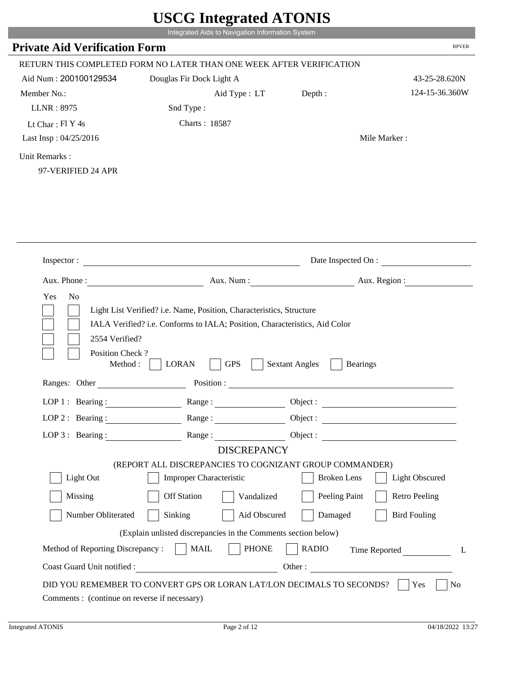|                                              |                                                                                                          | Integrated Aids to Navigation Information System |                       |
|----------------------------------------------|----------------------------------------------------------------------------------------------------------|--------------------------------------------------|-----------------------|
| <b>Private Aid Verification Form</b>         |                                                                                                          |                                                  | <b>RPVER</b>          |
|                                              | RETURN THIS COMPLETED FORM NO LATER THAN ONE WEEK AFTER VERIFICATION                                     |                                                  |                       |
| Aid Num: 200100129534                        | Douglas Fir Dock Light A                                                                                 |                                                  | 43-25-28.620N         |
| Member No.:                                  | Aid Type: LT                                                                                             | Depth:                                           | 124-15-36.360W        |
| LLNR: 8975                                   | Snd Type:                                                                                                |                                                  |                       |
| Lt Char: Fl Y 4s                             | Charts: 18587                                                                                            |                                                  |                       |
| Last Insp: 04/25/2016                        |                                                                                                          |                                                  | Mile Marker:          |
| Unit Remarks:<br>97-VERIFIED 24 APR          |                                                                                                          |                                                  |                       |
|                                              |                                                                                                          |                                                  |                       |
| Inspector:                                   |                                                                                                          |                                                  | Date Inspected On :   |
|                                              |                                                                                                          |                                                  |                       |
| Aux. Phone:<br>No<br>Yes                     | Aux. Num:<br>Light List Verified? i.e. Name, Position, Characteristics, Structure                        | Aux. Region :                                    |                       |
| 2554 Verified?<br>Position Check?<br>Method: | IALA Verified? i.e. Conforms to IALA; Position, Characteristics, Aid Color<br><b>LORAN</b><br><b>GPS</b> | <b>Sextant Angles</b><br><b>Bearings</b>         |                       |
| Ranges: Other                                | Position:                                                                                                |                                                  |                       |
| LOP 1 : Bearing :                            | Range:                                                                                                   | Object:                                          |                       |
|                                              | LOP 2: Bearing: Range: Range: Object:                                                                    |                                                  |                       |
| LOP $3:$ Bearing :                           | Range:                                                                                                   | Object :                                         |                       |
|                                              | <b>DISCREPANCY</b>                                                                                       |                                                  |                       |
|                                              | (REPORT ALL DISCREPANCIES TO COGNIZANT GROUP COMMANDER)                                                  |                                                  |                       |
| Light Out                                    | <b>Improper Characteristic</b>                                                                           | <b>Broken</b> Lens                               | <b>Light Obscured</b> |
| Missing                                      | <b>Off Station</b><br>Vandalized                                                                         | Peeling Paint                                    | <b>Retro Peeling</b>  |
| Number Obliterated                           | Sinking<br>Aid Obscured                                                                                  | Damaged                                          | <b>Bird Fouling</b>   |
|                                              | (Explain unlisted discrepancies in the Comments section below)                                           |                                                  |                       |
| Method of Reporting Discrepancy:             | <b>PHONE</b><br>$\vert$ MAIL                                                                             | <b>RADIO</b>                                     | Time Reported<br>L    |

г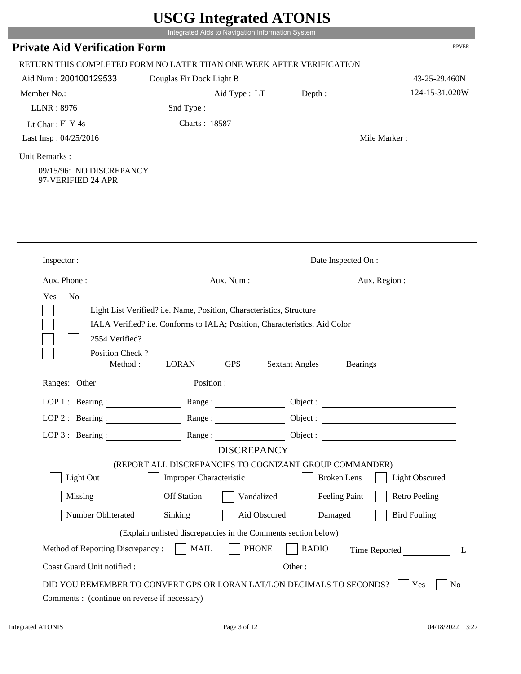|                                                                 | Integrated Aids to Navigation Information System                                                                                                                                                                              |                                          |                       |
|-----------------------------------------------------------------|-------------------------------------------------------------------------------------------------------------------------------------------------------------------------------------------------------------------------------|------------------------------------------|-----------------------|
| <b>Private Aid Verification Form</b>                            |                                                                                                                                                                                                                               |                                          | <b>RPVER</b>          |
|                                                                 | RETURN THIS COMPLETED FORM NO LATER THAN ONE WEEK AFTER VERIFICATION                                                                                                                                                          |                                          |                       |
| Aid Num: 200100129533                                           | Douglas Fir Dock Light B                                                                                                                                                                                                      |                                          | 43-25-29.460N         |
| Member No.:                                                     | Aid Type : LT                                                                                                                                                                                                                 | Depth:                                   | 124-15-31.020W        |
| <b>LLNR: 8976</b>                                               | Snd Type:                                                                                                                                                                                                                     |                                          |                       |
| Lt Char: Fl Y 4s                                                | Charts: 18587                                                                                                                                                                                                                 |                                          |                       |
| Last Insp: 04/25/2016                                           |                                                                                                                                                                                                                               |                                          | Mile Marker:          |
| Unit Remarks:<br>09/15/96: NO DISCREPANCY<br>97-VERIFIED 24 APR |                                                                                                                                                                                                                               |                                          |                       |
| Inspector :                                                     | <u> 1989 - Johann Barn, mars eta bainar eta baina eta baina eta baina eta baina eta baina eta baina eta baina e</u>                                                                                                           |                                          | Date Inspected On :   |
| Aux. Phone:                                                     |                                                                                                                                                                                                                               | Aux. Num: Aux. Region:                   |                       |
|                                                                 | Light List Verified? i.e. Name, Position, Characteristics, Structure                                                                                                                                                          |                                          |                       |
| 2554 Verified?<br>Position Check?<br>Method:                    | IALA Verified? i.e. Conforms to IALA; Position, Characteristics, Aid Color<br><b>LORAN</b><br><b>GPS</b>                                                                                                                      | <b>Sextant Angles</b><br><b>Bearings</b> |                       |
| Ranges: Other                                                   | Position :                                                                                                                                                                                                                    |                                          |                       |
| LOP $1$ : Bearing :                                             | Range:                                                                                                                                                                                                                        | Object :                                 |                       |
|                                                                 | LOP 2: Bearing : Range : Range : Object : Next : Next : Next : Next : Next : Next : Next : Next : Next : Next : Next : Next : Next : Next : Next : Next : Next : Next : Next : Next : Next : Next : Next : Next : Next : Next |                                          |                       |
| LOP 3: Bearing :                                                | Range :                                                                                                                                                                                                                       | Object :                                 |                       |
|                                                                 | <b>DISCREPANCY</b>                                                                                                                                                                                                            |                                          |                       |
| Light Out                                                       | (REPORT ALL DISCREPANCIES TO COGNIZANT GROUP COMMANDER)<br><b>Improper Characteristic</b>                                                                                                                                     | <b>Broken</b> Lens                       | <b>Light Obscured</b> |
| Missing                                                         | <b>Off Station</b><br>Vandalized                                                                                                                                                                                              | Peeling Paint                            | <b>Retro Peeling</b>  |
|                                                                 |                                                                                                                                                                                                                               |                                          |                       |
| Number Obliterated                                              | Sinking<br>Aid Obscured                                                                                                                                                                                                       | Damaged                                  | <b>Bird Fouling</b>   |
|                                                                 | (Explain unlisted discrepancies in the Comments section below)                                                                                                                                                                |                                          |                       |
| Method of Reporting Discrepancy :     MAIL                      | <b>PHONE</b><br>Coast Guard Unit notified :                                                                                                                                                                                   | <b>RADIO</b><br>Other:                   | Time Reported<br>L    |

P.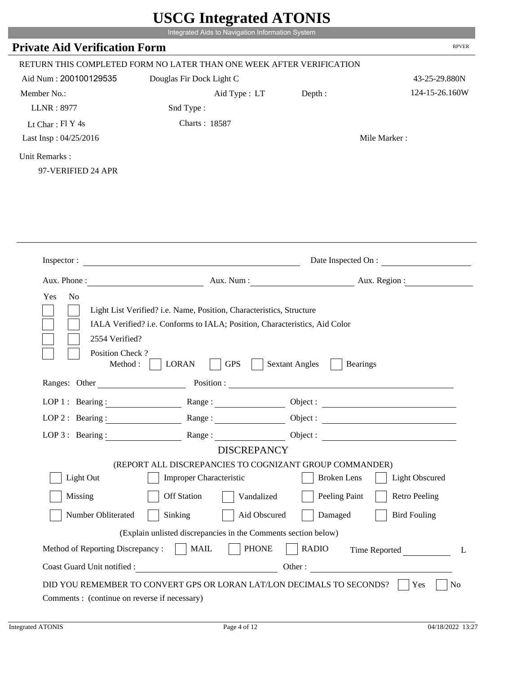|                                            | Integrated Aids to Navigation Information System                                                                      |                                          |                       |
|--------------------------------------------|-----------------------------------------------------------------------------------------------------------------------|------------------------------------------|-----------------------|
| <b>Private Aid Verification Form</b>       |                                                                                                                       |                                          | <b>RPVER</b>          |
|                                            | RETURN THIS COMPLETED FORM NO LATER THAN ONE WEEK AFTER VERIFICATION                                                  |                                          |                       |
| Aid Num: 200100129535                      | Douglas Fir Dock Light C                                                                                              |                                          | 43-25-29.880N         |
| Member No.:                                | Aid Type : LT                                                                                                         | Depth:                                   | 124-15-26.160W        |
| <b>LLNR: 8977</b>                          | Snd Type:                                                                                                             |                                          |                       |
| Lt Char: Fl Y 4s                           | Charts: 18587                                                                                                         |                                          |                       |
| Last Insp: 04/25/2016                      |                                                                                                                       |                                          | Mile Marker:          |
| Unit Remarks:                              |                                                                                                                       |                                          |                       |
| 97-VERIFIED 24 APR                         |                                                                                                                       |                                          |                       |
|                                            |                                                                                                                       |                                          |                       |
|                                            |                                                                                                                       |                                          |                       |
|                                            |                                                                                                                       |                                          |                       |
|                                            |                                                                                                                       |                                          |                       |
|                                            |                                                                                                                       |                                          |                       |
|                                            |                                                                                                                       |                                          |                       |
| Inspector:                                 | <u> 1980 - Jan Sterling and Sterling and Sterling and Sterling and Sterling and Sterling and Sterling and Sterlin</u> |                                          | Date Inspected On :   |
|                                            |                                                                                                                       |                                          |                       |
| Aux. Phone:                                | Aux. Num:                                                                                                             | Aux. Region :                            |                       |
|                                            |                                                                                                                       |                                          |                       |
| Yes<br>No                                  |                                                                                                                       |                                          |                       |
|                                            | Light List Verified? i.e. Name, Position, Characteristics, Structure                                                  |                                          |                       |
|                                            | IALA Verified? i.e. Conforms to IALA; Position, Characteristics, Aid Color                                            |                                          |                       |
| 2554 Verified?                             |                                                                                                                       |                                          |                       |
| Position Check?                            |                                                                                                                       |                                          |                       |
| Method:                                    | <b>LORAN</b><br><b>GPS</b>                                                                                            | <b>Sextant Angles</b><br><b>Bearings</b> |                       |
| Ranges: Other                              | Position :                                                                                                            |                                          |                       |
| $LOP1:$ Bearing:                           |                                                                                                                       |                                          |                       |
|                                            | Range:                                                                                                                | Object:                                  |                       |
|                                            | LOP 2: Bearing: Range: Range: Object:                                                                                 |                                          |                       |
| $LOP$ 3 : Bearing :                        | Range:<br><b>DISCREPANCY</b>                                                                                          |                                          | Object :              |
|                                            |                                                                                                                       |                                          |                       |
| Light Out                                  | (REPORT ALL DISCREPANCIES TO COGNIZANT GROUP COMMANDER)<br>Improper Characteristic                                    | <b>Broken Lens</b>                       | <b>Light Obscured</b> |
| Missing                                    | Off Station<br>Vandalized                                                                                             | Peeling Paint                            | <b>Retro Peeling</b>  |
|                                            |                                                                                                                       |                                          |                       |
| Number Obliterated                         | Sinking<br>Aid Obscured                                                                                               | Damaged                                  | <b>Bird Fouling</b>   |
|                                            | (Explain unlisted discrepancies in the Comments section below)                                                        |                                          |                       |
| Method of Reporting Discrepancy :     MAIL | <b>PHONE</b><br>Coast Guard Unit notified :                                                                           | <b>RADIO</b>                             | L                     |

T.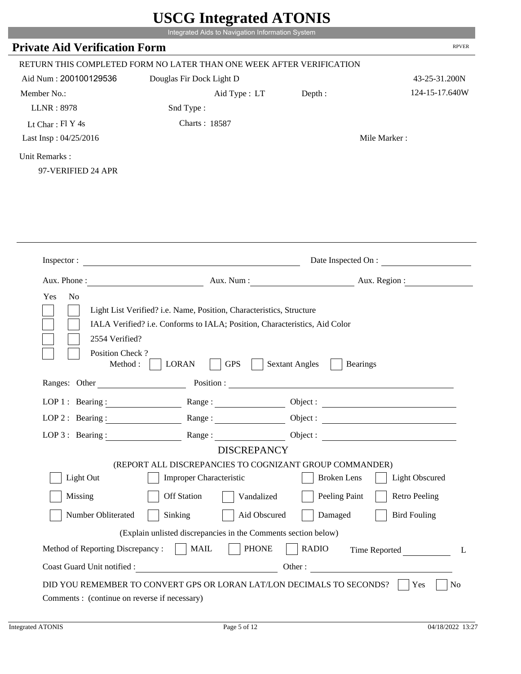|                                            | Integrated Aids to Navigation Information System                               |                                          |                       |
|--------------------------------------------|--------------------------------------------------------------------------------|------------------------------------------|-----------------------|
| <b>Private Aid Verification Form</b>       |                                                                                |                                          | <b>RPVER</b>          |
|                                            | RETURN THIS COMPLETED FORM NO LATER THAN ONE WEEK AFTER VERIFICATION           |                                          |                       |
| Aid Num: 200100129536                      | Douglas Fir Dock Light D                                                       |                                          | 43-25-31.200N         |
| Member No.:                                | Aid Type : LT                                                                  | Depth:                                   | 124-15-17.640W        |
| <b>LLNR: 8978</b>                          | Snd Type:                                                                      |                                          |                       |
| Lt Char: $FI Y 4s$                         | Charts: 18587                                                                  |                                          |                       |
| Last Insp: 04/25/2016                      |                                                                                |                                          | Mile Marker:          |
| Unit Remarks:                              |                                                                                |                                          |                       |
| 97-VERIFIED 24 APR                         |                                                                                |                                          |                       |
|                                            |                                                                                |                                          |                       |
|                                            |                                                                                |                                          |                       |
|                                            |                                                                                |                                          |                       |
|                                            |                                                                                |                                          |                       |
| Inspector:                                 |                                                                                |                                          | Date Inspected On :   |
| Aux. Phone :                               | Aux. Num:                                                                      | Aux. Region :                            |                       |
|                                            |                                                                                |                                          |                       |
|                                            |                                                                                |                                          |                       |
| Yes<br>No                                  |                                                                                |                                          |                       |
|                                            | Light List Verified? i.e. Name, Position, Characteristics, Structure           |                                          |                       |
|                                            | IALA Verified? i.e. Conforms to IALA; Position, Characteristics, Aid Color     |                                          |                       |
| 2554 Verified?                             |                                                                                |                                          |                       |
| Position Check?<br>Method:                 | <b>LORAN</b><br><b>GPS</b>                                                     | <b>Sextant Angles</b><br><b>Bearings</b> |                       |
| Ranges: Other                              | Position:                                                                      |                                          |                       |
|                                            |                                                                                |                                          |                       |
| LOP 1 : Bearing :                          | Range:                                                                         | Object:                                  |                       |
|                                            |                                                                                |                                          |                       |
| LOP $3:$ Bearing :                         |                                                                                | Range: Object:                           |                       |
|                                            | <b>DISCREPANCY</b><br>(REPORT ALL DISCREPANCIES TO COGNIZANT GROUP COMMANDER)  |                                          |                       |
| Light Out                                  | <b>Improper Characteristic</b>                                                 | <b>Broken</b> Lens                       | <b>Light Obscured</b> |
| Missing                                    | <b>Off Station</b><br>Vandalized                                               | Peeling Paint                            | <b>Retro Peeling</b>  |
| Number Obliterated                         | Sinking<br>Aid Obscured                                                        | Damaged                                  | <b>Bird Fouling</b>   |
|                                            |                                                                                |                                          |                       |
| Method of Reporting Discrepancy :     MAIL | (Explain unlisted discrepancies in the Comments section below)<br><b>PHONE</b> | <b>RADIO</b>                             |                       |
|                                            | Coast Guard Unit notified :                                                    | Other :                                  | Time Reported<br>L    |

P.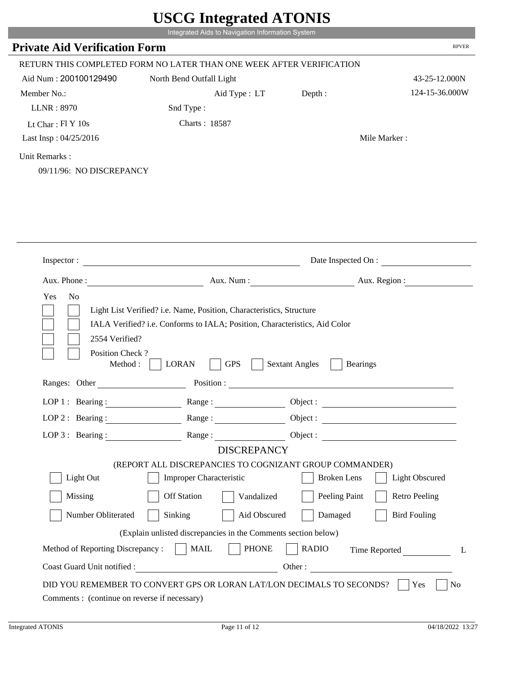|                                              | Integrated Aids to Navigation Information System                                                                                                                                 |                                          |                         |
|----------------------------------------------|----------------------------------------------------------------------------------------------------------------------------------------------------------------------------------|------------------------------------------|-------------------------|
| <b>Private Aid Verification Form</b>         |                                                                                                                                                                                  |                                          | <b>RPVER</b>            |
|                                              | RETURN THIS COMPLETED FORM NO LATER THAN ONE WEEK AFTER VERIFICATION                                                                                                             |                                          |                         |
| Aid Num: 200100129490                        | North Bend Outfall Light                                                                                                                                                         |                                          | 43-25-12.000N           |
| Member No.:                                  | Aid Type : LT                                                                                                                                                                    | Depth:                                   | 124-15-36.000W          |
| LLNR: 8970                                   | Snd Type:                                                                                                                                                                        |                                          |                         |
| Lt Char: Fl Y 10s                            | Charts: 18587                                                                                                                                                                    |                                          |                         |
| Last Insp: 04/25/2016                        |                                                                                                                                                                                  |                                          | Mile Marker:            |
| Unit Remarks:<br>09/11/96: NO DISCREPANCY    |                                                                                                                                                                                  |                                          |                         |
| Inspector:                                   | <u> 1980 - Jan Barbara Barbara, manazarta da </u>                                                                                                                                |                                          | Date Inspected On :     |
| Aux. Phone:                                  | Aux. Num:                                                                                                                                                                        | Aux. Region :                            |                         |
| Yes<br>N <sub>0</sub>                        |                                                                                                                                                                                  |                                          |                         |
| 2554 Verified?<br>Position Check?<br>Method: | Light List Verified? i.e. Name, Position, Characteristics, Structure<br>IALA Verified? i.e. Conforms to IALA; Position, Characteristics, Aid Color<br><b>LORAN</b><br><b>GPS</b> | <b>Sextant Angles</b><br><b>Bearings</b> |                         |
| Ranges: Other                                | Position :                                                                                                                                                                       |                                          |                         |
| LOP 1 : Bearing :                            | Range:                                                                                                                                                                           | Object :                                 |                         |
|                                              | LOP 2: Bearing: Range: Range: Object:                                                                                                                                            |                                          |                         |
| LOP 3 : Bearing : $\qquad \qquad$            |                                                                                                                                                                                  | Range: Object:                           |                         |
|                                              | <b>DISCREPANCY</b>                                                                                                                                                               |                                          |                         |
|                                              | (REPORT ALL DISCREPANCIES TO COGNIZANT GROUP COMMANDER)                                                                                                                          |                                          |                         |
| Light Out                                    | Improper Characteristic                                                                                                                                                          | <b>Broken Lens</b>                       | <b>Light Obscured</b>   |
| Missing                                      | Off Station                                                                                                                                                                      | Peeling Paint<br>Vandalized              | <b>Retro Peeling</b>    |
| Number Obliterated                           | Sinking                                                                                                                                                                          | Damaged<br>Aid Obscured                  | <b>Bird Fouling</b>     |
|                                              | (Explain unlisted discrepancies in the Comments section below)                                                                                                                   |                                          |                         |
|                                              |                                                                                                                                                                                  |                                          |                         |
| Method of Reporting Discrepancy :            | <b>PHONE</b><br><b>MAIL</b>                                                                                                                                                      | <b>RADIO</b>                             | L                       |
|                                              |                                                                                                                                                                                  |                                          | Time Reported<br>Other: |